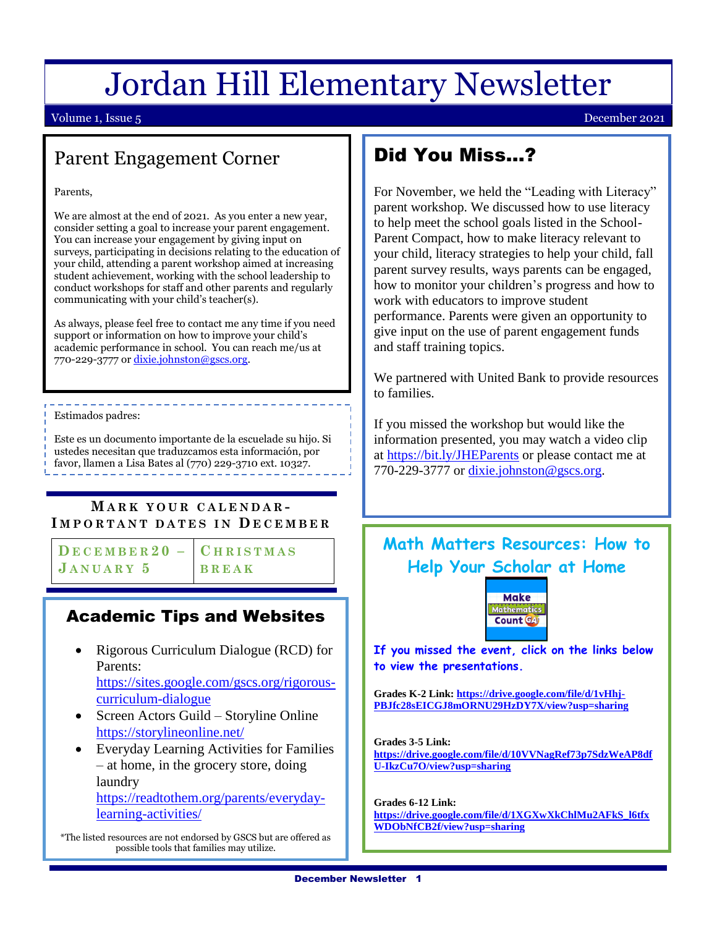# Jordan Hill Elementary Newsletter

### Volume 1, Issue 5 December 2021

### Parent Engagement Corner

Parents,

We are almost at the end of 2021. As you enter a new year, consider setting a goal to increase your parent engagement. You can increase your engagement by giving input on surveys, participating in decisions relating to the education of your child, attending a parent workshop aimed at increasing student achievement, working with the school leadership to conduct workshops for staff and other parents and regularly communicating with your child's teacher(s).

As always, please feel free to contact me any time if you need support or information on how to improve your child's academic performance in school. You can reach me/us at 770-229-3777 or dixie.johnston@gscs.org.

Estimados padres:

Este es un documento importante de la escuelade su hijo. Si ustedes necesitan que traduzcamos esta información, por favor, llamen a Lisa Bates al (770) 229-3710 ext. 10327.

### **M A R K Y O U R C A L E N D A R - I M P O R T A N T D A T E S I N D E C E M B E R**

 $\overline{D}$  **E** C **E M B E R** 2 0 – **C H R I S T M A S JANUARY 5** BREAK

Ĩ

**C H R I S T M A S B R E A K** 

#### home, school and community partnerships. It sets forth **Academic Tips and Websites**

The Parent Involvement Policy is the foundation of

• Rigorous Curriculum Dialogue (RCD) for  $\frac{L}{2}$ Parents:

[https://sites.google.com/gscs.org/rigorous](https://sites.google.com/gscs.org/rigorous-curriculum-dialogue)[curriculum-dialogue](https://sites.google.com/gscs.org/rigorous-curriculum-dialogue)

- Screen Actors Guild Storyline Online <https://storylineonline.net/>
- EMAIL. • Everyday Learning Activities for Families – at home, in the grocery store, doing laundry [https://readtothem.org/parents/everyday-](https://readtothem.org/parents/everyday-learning-activities/)

[learning-activities/](https://readtothem.org/parents/everyday-learning-activities/)

\*The listed resources are not endorsed by GSCS but are offered as possible tools that families may utilize.

## Did You Miss…?

For November, we held the "Leading with Literacy" parent workshop. We discussed how to use literacy to help meet the school goals listed in the School-Parent Compact, how to make literacy relevant to your child, literacy strategies to help your child, fall parent survey results, ways parents can be engaged, how to monitor your children's progress and how to work with educators to improve student performance. Parents were given an opportunity to give input on the use of parent engagement funds and staff training topics.

We partnered with United Bank to provide resources to families.

If you missed the workshop but would like the information presented, you may watch a video clip at<https://bit.ly/JHEParents> or please contact me at 770-229-3777 or [dixie.johnston@gscs.org.](mailto:dixie.johnston@gscs.org)

### **Math Matters Resources: How to Help Your Scholar at Home**



**If you missed the event, click on the links below to view the presentations.**

**Grades K-2 Link: [https://drive.google.com/file/d/1vHhj-](https://drive.google.com/file/d/1vHhj-PBJfc28sEICGJ8mORNU29HzDY7X/view?usp=sharing)[PBJfc28sEICGJ8mORNU29HzDY7X/view?usp=sharing](https://drive.google.com/file/d/1vHhj-PBJfc28sEICGJ8mORNU29HzDY7X/view?usp=sharing)**

**Grades 3-5 Link:** 

**[https://drive.google.com/file/d/10VVNagRef73p7SdzWeAP8df](https://drive.google.com/file/d/10VVNagRef73p7SdzWeAP8dfU-IkzCu7O/view?usp=sharing) [U-IkzCu7O/view?usp=sharing](https://drive.google.com/file/d/10VVNagRef73p7SdzWeAP8dfU-IkzCu7O/view?usp=sharing)**

**Grades 6-12 Link: [https://drive.google.com/file/d/1XGXwXkChlMu2AFkS\\_l6tfx](https://drive.google.com/file/d/1XGXwXkChlMu2AFkS_l6tfxWDObNfCB2f/view?usp=sharing) [WDObNfCB2f/view?usp=sharing](https://drive.google.com/file/d/1XGXwXkChlMu2AFkS_l6tfxWDObNfCB2f/view?usp=sharing)**